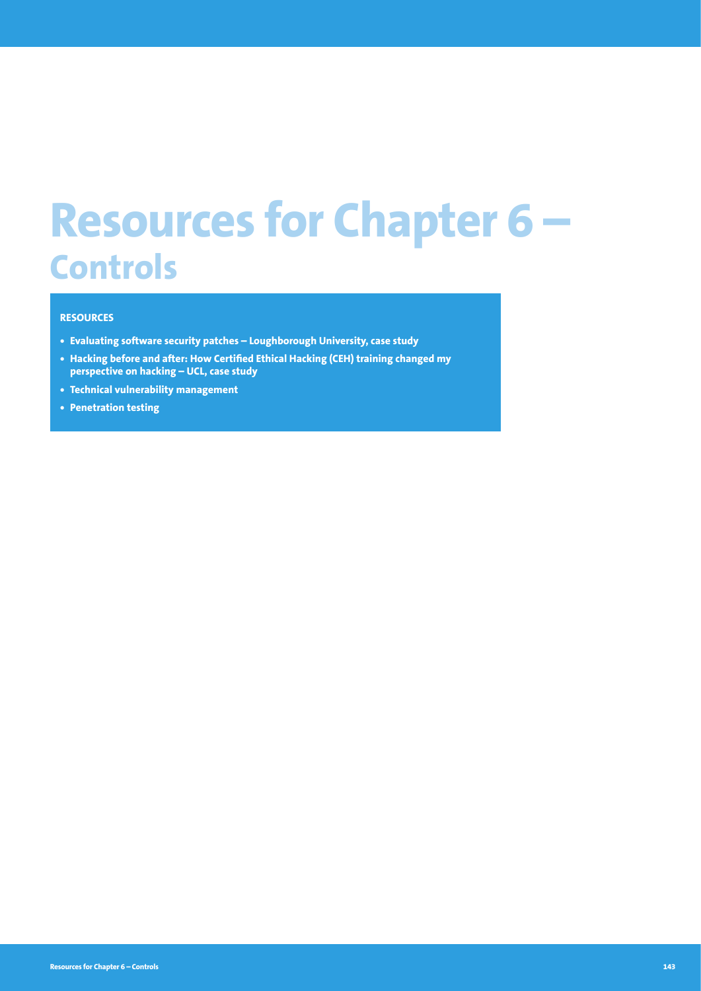# **Resources for Chapter 6 – Controls**

# **RESOURCES**

- **• Evaluating software security patches Loughborough University, case study**
- **• Hacking before and after: How Certified Ethical Hacking (CEH) training changed my perspective on hacking – UCL, case study**
- **• Technical vulnerability management**
- **• Penetration testing**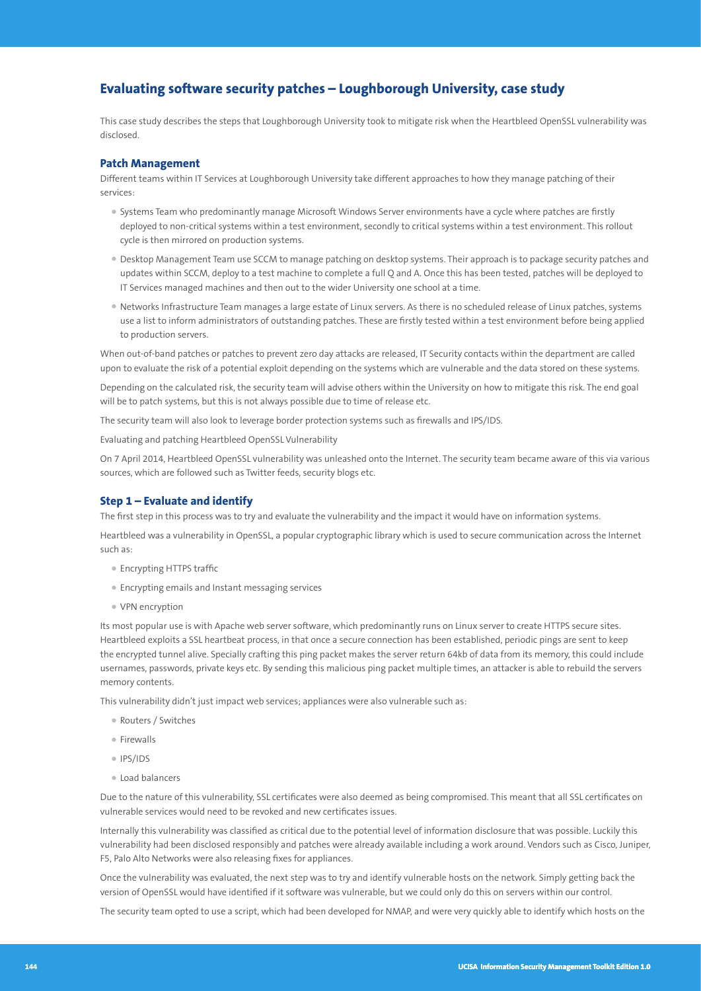# **Evaluating software security patches – Loughborough University, case study**

This case study describes the steps that Loughborough University took to mitigate risk when the Heartbleed OpenSSL vulnerability was disclosed.

#### **Patch Management**

Different teams within IT Services at Loughborough University take different approaches to how they manage patching of their services:

- Systems Team who predominantly manage Microsoft Windows Server environments have a cycle where patches are firstly deployed to non-critical systems within a test environment, secondly to critical systems within a test environment. This rollout cycle is then mirrored on production systems.
- Desktop Management Team use SCCM to manage patching on desktop systems. Their approach is to package security patches and updates within SCCM, deploy to a test machine to complete a full Q and A. Once this has been tested, patches will be deployed to IT Services managed machines and then out to the wider University one school at a time.
- Networks Infrastructure Team manages a large estate of Linux servers. As there is no scheduled release of Linux patches, systems use a list to inform administrators of outstanding patches. These are firstly tested within a test environment before being applied to production servers.

When out-of-band patches or patches to prevent zero day attacks are released, IT Security contacts within the department are called upon to evaluate the risk of a potential exploit depending on the systems which are vulnerable and the data stored on these systems.

Depending on the calculated risk, the security team will advise others within the University on how to mitigate this risk. The end goal will be to patch systems, but this is not always possible due to time of release etc.

The security team will also look to leverage border protection systems such as firewalls and IPS/IDS.

Evaluating and patching Heartbleed OpenSSL Vulnerability

On 7 April 2014, Heartbleed OpenSSL vulnerability was unleashed onto the Internet. The security team became aware of this via various sources, which are followed such as Twitter feeds, security blogs etc.

### **Step 1 – Evaluate and identify**

The first step in this process was to try and evaluate the vulnerability and the impact it would have on information systems.

Heartbleed was a vulnerability in OpenSSL, a popular cryptographic library which is used to secure communication across the Internet such as:

- Encrypting HTTPS traffic
- Encrypting emails and Instant messaging services
- VPN encryption

Its most popular use is with Apache web server software, which predominantly runs on Linux server to create HTTPS secure sites. Heartbleed exploits a SSL heartbeat process, in that once a secure connection has been established, periodic pings are sent to keep the encrypted tunnel alive. Specially crafting this ping packet makes the server return 64kb of data from its memory, this could include usernames, passwords, private keys etc. By sending this malicious ping packet multiple times, an attacker is able to rebuild the servers memory contents.

This vulnerability didn't just impact web services; appliances were also vulnerable such as:

- Routers / Switches
- Firewalls
- IPS/IDS
- Load balancers

Due to the nature of this vulnerability, SSL certificates were also deemed as being compromised. This meant that all SSL certificates on vulnerable services would need to be revoked and new certificates issues.

Internally this vulnerability was classified as critical due to the potential level of information disclosure that was possible. Luckily this vulnerability had been disclosed responsibly and patches were already available including a work around. Vendors such as Cisco, Juniper, F5, Palo Alto Networks were also releasing fixes for appliances.

Once the vulnerability was evaluated, the next step was to try and identify vulnerable hosts on the network. Simply getting back the version of OpenSSL would have identified if it software was vulnerable, but we could only do this on servers within our control.

The security team opted to use a script, which had been developed for NMAP, and were very quickly able to identify which hosts on the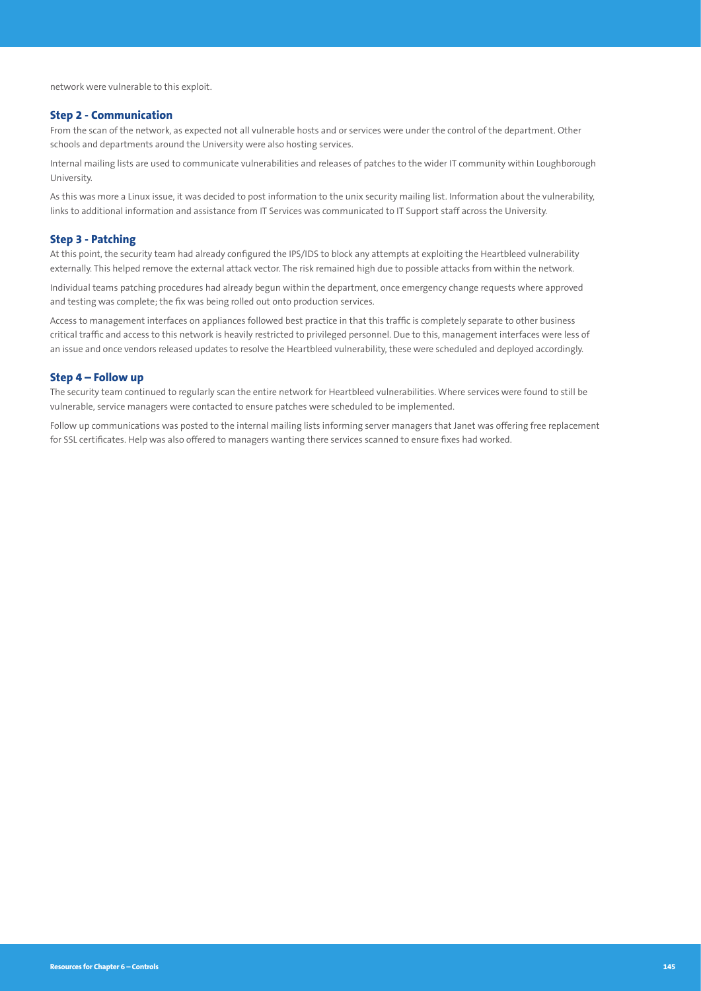network were vulnerable to this exploit.

#### **Step 2 - Communication**

From the scan of the network, as expected not all vulnerable hosts and or services were under the control of the department. Other schools and departments around the University were also hosting services.

Internal mailing lists are used to communicate vulnerabilities and releases of patches to the wider IT community within Loughborough University.

As this was more a Linux issue, it was decided to post information to the unix security mailing list. Information about the vulnerability, links to additional information and assistance from IT Services was communicated to IT Support staff across the University.

### **Step 3 - Patching**

At this point, the security team had already configured the IPS/IDS to block any attempts at exploiting the Heartbleed vulnerability externally. This helped remove the external attack vector. The risk remained high due to possible attacks from within the network.

Individual teams patching procedures had already begun within the department, once emergency change requests where approved and testing was complete; the fix was being rolled out onto production services.

Access to management interfaces on appliances followed best practice in that this traffic is completely separate to other business critical traffic and access to this network is heavily restricted to privileged personnel. Due to this, management interfaces were less of an issue and once vendors released updates to resolve the Heartbleed vulnerability, these were scheduled and deployed accordingly.

### **Step 4 – Follow up**

The security team continued to regularly scan the entire network for Heartbleed vulnerabilities. Where services were found to still be vulnerable, service managers were contacted to ensure patches were scheduled to be implemented.

Follow up communications was posted to the internal mailing lists informing server managers that Janet was offering free replacement for SSL certificates. Help was also offered to managers wanting there services scanned to ensure fixes had worked.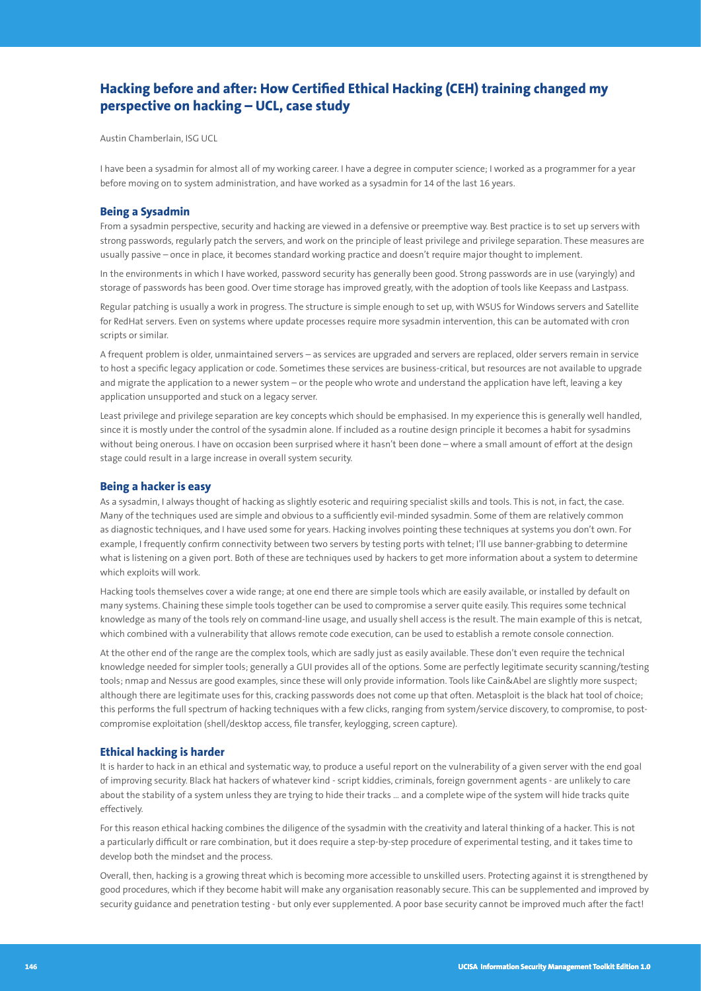# **Hacking before and after: How Certified Ethical Hacking (CEH) training changed my perspective on hacking – UCL, case study**

Austin Chamberlain, ISG UCL

I have been a sysadmin for almost all of my working career. I have a degree in computer science; I worked as a programmer for a year before moving on to system administration, and have worked as a sysadmin for 14 of the last 16 years.

## **Being a Sysadmin**

From a sysadmin perspective, security and hacking are viewed in a defensive or preemptive way. Best practice is to set up servers with strong passwords, regularly patch the servers, and work on the principle of least privilege and privilege separation. These measures are usually passive – once in place, it becomes standard working practice and doesn't require major thought to implement.

In the environments in which I have worked, password security has generally been good. Strong passwords are in use (varyingly) and storage of passwords has been good. Over time storage has improved greatly, with the adoption of tools like Keepass and Lastpass.

Regular patching is usually a work in progress. The structure is simple enough to set up, with WSUS for Windows servers and Satellite for RedHat servers. Even on systems where update processes require more sysadmin intervention, this can be automated with cron scripts or similar.

A frequent problem is older, unmaintained servers – as services are upgraded and servers are replaced, older servers remain in service to host a specific legacy application or code. Sometimes these services are business-critical, but resources are not available to upgrade and migrate the application to a newer system – or the people who wrote and understand the application have left, leaving a key application unsupported and stuck on a legacy server.

Least privilege and privilege separation are key concepts which should be emphasised. In my experience this is generally well handled, since it is mostly under the control of the sysadmin alone. If included as a routine design principle it becomes a habit for sysadmins without being onerous. I have on occasion been surprised where it hasn't been done – where a small amount of effort at the design stage could result in a large increase in overall system security.

#### **Being a hacker is easy**

As a sysadmin, I always thought of hacking as slightly esoteric and requiring specialist skills and tools. This is not, in fact, the case. Many of the techniques used are simple and obvious to a sufficiently evil-minded sysadmin. Some of them are relatively common as diagnostic techniques, and I have used some for years. Hacking involves pointing these techniques at systems you don't own. For example, I frequently confirm connectivity between two servers by testing ports with telnet; I'll use banner-grabbing to determine what is listening on a given port. Both of these are techniques used by hackers to get more information about a system to determine which exploits will work.

Hacking tools themselves cover a wide range; at one end there are simple tools which are easily available, or installed by default on many systems. Chaining these simple tools together can be used to compromise a server quite easily. This requires some technical knowledge as many of the tools rely on command-line usage, and usually shell access is the result. The main example of this is netcat, which combined with a vulnerability that allows remote code execution, can be used to establish a remote console connection.

At the other end of the range are the complex tools, which are sadly just as easily available. These don't even require the technical knowledge needed for simpler tools; generally a GUI provides all of the options. Some are perfectly legitimate security scanning/testing tools; nmap and Nessus are good examples, since these will only provide information. Tools like Cain&Abel are slightly more suspect; although there are legitimate uses for this, cracking passwords does not come up that often. Metasploit is the black hat tool of choice; this performs the full spectrum of hacking techniques with a few clicks, ranging from system/service discovery, to compromise, to postcompromise exploitation (shell/desktop access, file transfer, keylogging, screen capture).

#### **Ethical hacking is harder**

It is harder to hack in an ethical and systematic way, to produce a useful report on the vulnerability of a given server with the end goal of improving security. Black hat hackers of whatever kind - script kiddies, criminals, foreign government agents - are unlikely to care about the stability of a system unless they are trying to hide their tracks … and a complete wipe of the system will hide tracks quite effectively.

For this reason ethical hacking combines the diligence of the sysadmin with the creativity and lateral thinking of a hacker. This is not a particularly difficult or rare combination, but it does require a step-by-step procedure of experimental testing, and it takes time to develop both the mindset and the process.

Overall, then, hacking is a growing threat which is becoming more accessible to unskilled users. Protecting against it is strengthened by good procedures, which if they become habit will make any organisation reasonably secure. This can be supplemented and improved by security guidance and penetration testing - but only ever supplemented. A poor base security cannot be improved much after the fact!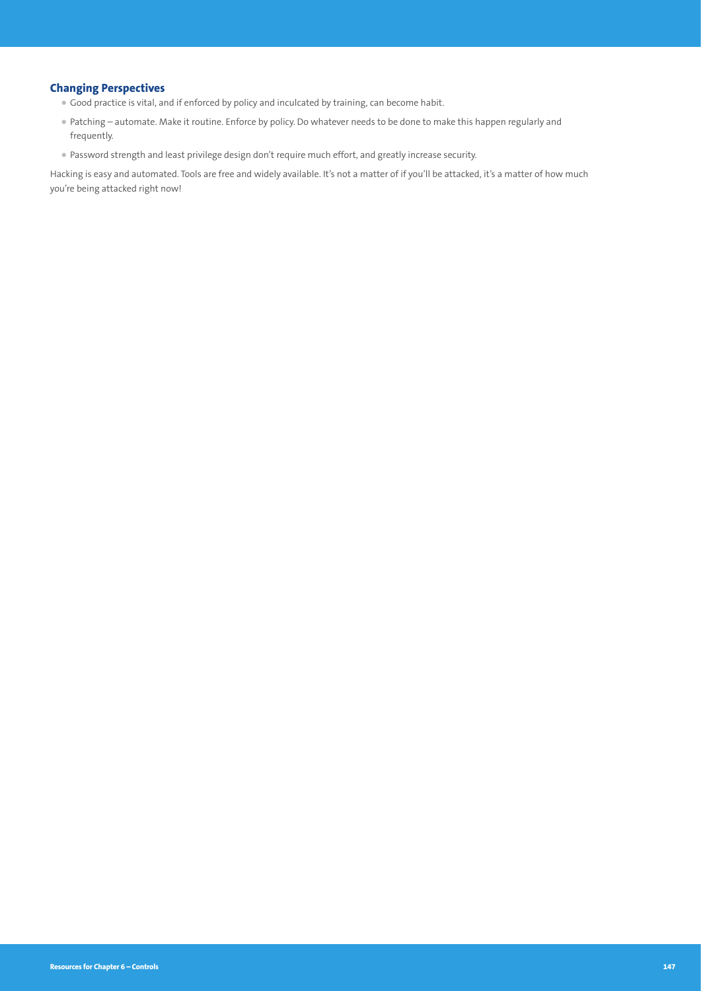# **Changing Perspectives**

- Good practice is vital, and if enforced by policy and inculcated by training, can become habit.
- Patching automate. Make it routine. Enforce by policy. Do whatever needs to be done to make this happen regularly and frequently.
- Password strength and least privilege design don't require much effort, and greatly increase security.

Hacking is easy and automated. Tools are free and widely available. It's not a matter of if you'll be attacked, it's a matter of how much you're being attacked right now!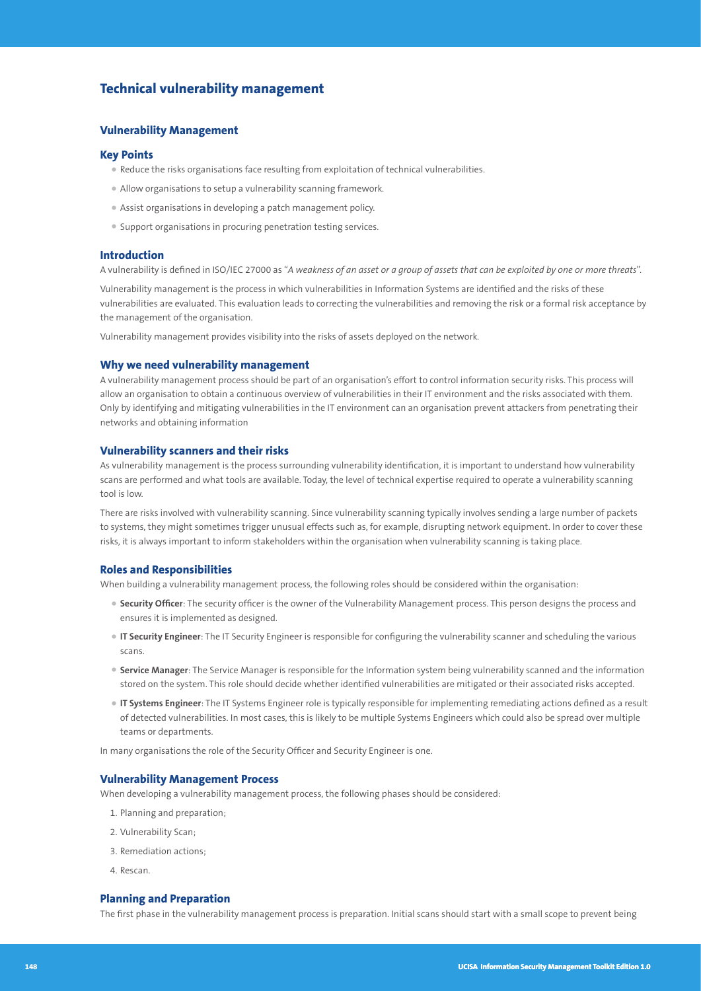# **Technical vulnerability management**

## **Vulnerability Management**

#### **Key Points**

- Reduce the risks organisations face resulting from exploitation of technical vulnerabilities.
- Allow organisations to setup a vulnerability scanning framework.
- Assist organisations in developing a patch management policy.
- Support organisations in procuring penetration testing services.

#### **Introduction**

A vulnerability is defined in ISO/IEC 27000 as "*A weakness of an asset or a group of assets that can be exploited by one or more threats*".

Vulnerability management is the process in which vulnerabilities in Information Systems are identified and the risks of these vulnerabilities are evaluated. This evaluation leads to correcting the vulnerabilities and removing the risk or a formal risk acceptance by the management of the organisation.

Vulnerability management provides visibility into the risks of assets deployed on the network.

#### **Why we need vulnerability management**

A vulnerability management process should be part of an organisation's effort to control information security risks. This process will allow an organisation to obtain a continuous overview of vulnerabilities in their IT environment and the risks associated with them. Only by identifying and mitigating vulnerabilities in the IT environment can an organisation prevent attackers from penetrating their networks and obtaining information

#### **Vulnerability scanners and their risks**

As vulnerability management is the process surrounding vulnerability identification, it is important to understand how vulnerability scans are performed and what tools are available. Today, the level of technical expertise required to operate a vulnerability scanning tool is low.

There are risks involved with vulnerability scanning. Since vulnerability scanning typically involves sending a large number of packets to systems, they might sometimes trigger unusual effects such as, for example, disrupting network equipment. In order to cover these risks, it is always important to inform stakeholders within the organisation when vulnerability scanning is taking place.

#### **Roles and Responsibilities**

When building a vulnerability management process, the following roles should be considered within the organisation:

- **Security Officer**: The security officer is the owner of the Vulnerability Management process. This person designs the process and ensures it is implemented as designed.
- **IT Security Engineer**: The IT Security Engineer is responsible for configuring the vulnerability scanner and scheduling the various scans.
- **Service Manager**: The Service Manager is responsible for the Information system being vulnerability scanned and the information stored on the system. This role should decide whether identified vulnerabilities are mitigated or their associated risks accepted.
- **IT Systems Engineer**: The IT Systems Engineer role is typically responsible for implementing remediating actions defined as a result of detected vulnerabilities. In most cases, this is likely to be multiple Systems Engineers which could also be spread over multiple teams or departments.

In many organisations the role of the Security Officer and Security Engineer is one.

#### **Vulnerability Management Process**

When developing a vulnerability management process, the following phases should be considered:

- 1. Planning and preparation;
- 2. Vulnerability Scan;
- 3. Remediation actions;
- 4. Rescan.

## **Planning and Preparation**

The first phase in the vulnerability management process is preparation. Initial scans should start with a small scope to prevent being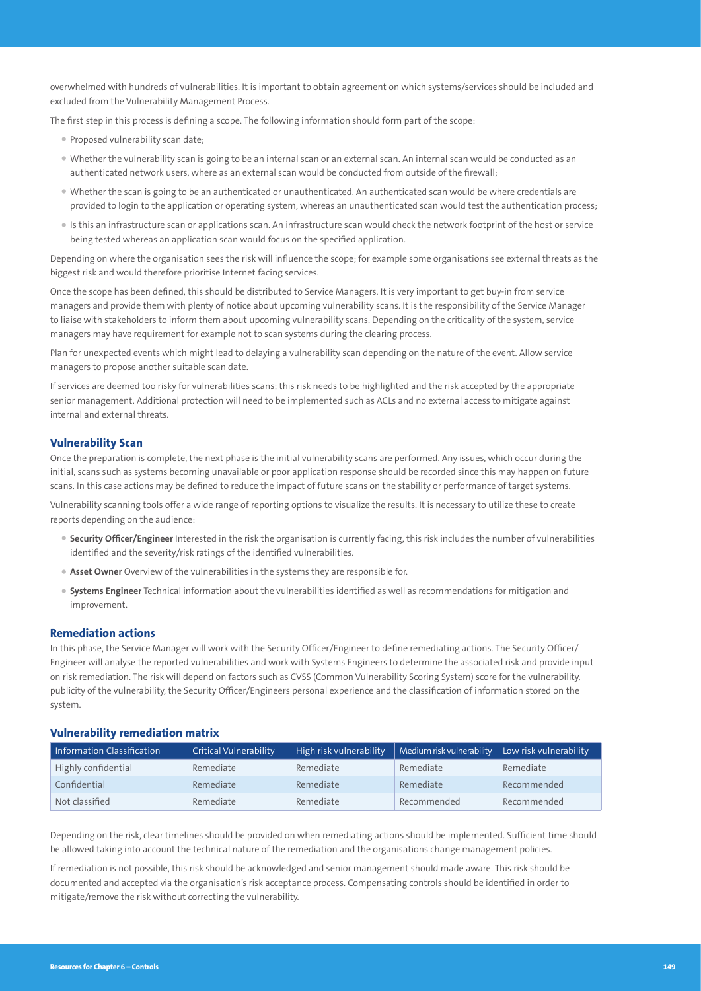overwhelmed with hundreds of vulnerabilities. It is important to obtain agreement on which systems/services should be included and excluded from the Vulnerability Management Process.

The first step in this process is defining a scope. The following information should form part of the scope:

- Proposed vulnerability scan date;
- Whether the vulnerability scan is going to be an internal scan or an external scan. An internal scan would be conducted as an authenticated network users, where as an external scan would be conducted from outside of the firewall;
- Whether the scan is going to be an authenticated or unauthenticated. An authenticated scan would be where credentials are provided to login to the application or operating system, whereas an unauthenticated scan would test the authentication process;
- Is this an infrastructure scan or applications scan. An infrastructure scan would check the network footprint of the host or service being tested whereas an application scan would focus on the specified application.

Depending on where the organisation sees the risk will influence the scope; for example some organisations see external threats as the biggest risk and would therefore prioritise Internet facing services.

Once the scope has been defined, this should be distributed to Service Managers. It is very important to get buy-in from service managers and provide them with plenty of notice about upcoming vulnerability scans. It is the responsibility of the Service Manager to liaise with stakeholders to inform them about upcoming vulnerability scans. Depending on the criticality of the system, service managers may have requirement for example not to scan systems during the clearing process.

Plan for unexpected events which might lead to delaying a vulnerability scan depending on the nature of the event. Allow service managers to propose another suitable scan date.

If services are deemed too risky for vulnerabilities scans; this risk needs to be highlighted and the risk accepted by the appropriate senior management. Additional protection will need to be implemented such as ACLs and no external access to mitigate against internal and external threats.

# **Vulnerability Scan**

Once the preparation is complete, the next phase is the initial vulnerability scans are performed. Any issues, which occur during the initial, scans such as systems becoming unavailable or poor application response should be recorded since this may happen on future scans. In this case actions may be defined to reduce the impact of future scans on the stability or performance of target systems.

Vulnerability scanning tools offer a wide range of reporting options to visualize the results. It is necessary to utilize these to create reports depending on the audience:

- **Security Officer/Engineer** Interested in the risk the organisation is currently facing, this risk includes the number of vulnerabilities identified and the severity/risk ratings of the identified vulnerabilities.
- **Asset Owner** Overview of the vulnerabilities in the systems they are responsible for.
- **Systems Engineer** Technical information about the vulnerabilities identified as well as recommendations for mitigation and improvement.

#### **Remediation actions**

In this phase, the Service Manager will work with the Security Officer/Engineer to define remediating actions. The Security Officer/ Engineer will analyse the reported vulnerabilities and work with Systems Engineers to determine the associated risk and provide input on risk remediation. The risk will depend on factors such as CVSS (Common Vulnerability Scoring System) score for the vulnerability, publicity of the vulnerability, the Security Officer/Engineers personal experience and the classification of information stored on the system.

### **Vulnerability remediation matrix**

| Information Classification | <b>Critical Vulnerability</b> | High risk vulnerability | $\mid$ Medium risk vulnerability $\mid$ Low risk vulnerability |             |
|----------------------------|-------------------------------|-------------------------|----------------------------------------------------------------|-------------|
| Highly confidential        | Remediate                     | Remediate               | Remediate                                                      | Remediate   |
| Confidential               | Remediate                     | Remediate               | Remediate                                                      | Recommended |
| Not classified             | Remediate                     | Remediate               | Recommended                                                    | Recommended |

Depending on the risk, clear timelines should be provided on when remediating actions should be implemented. Sufficient time should be allowed taking into account the technical nature of the remediation and the organisations change management policies.

If remediation is not possible, this risk should be acknowledged and senior management should made aware. This risk should be documented and accepted via the organisation's risk acceptance process. Compensating controls should be identified in order to mitigate/remove the risk without correcting the vulnerability.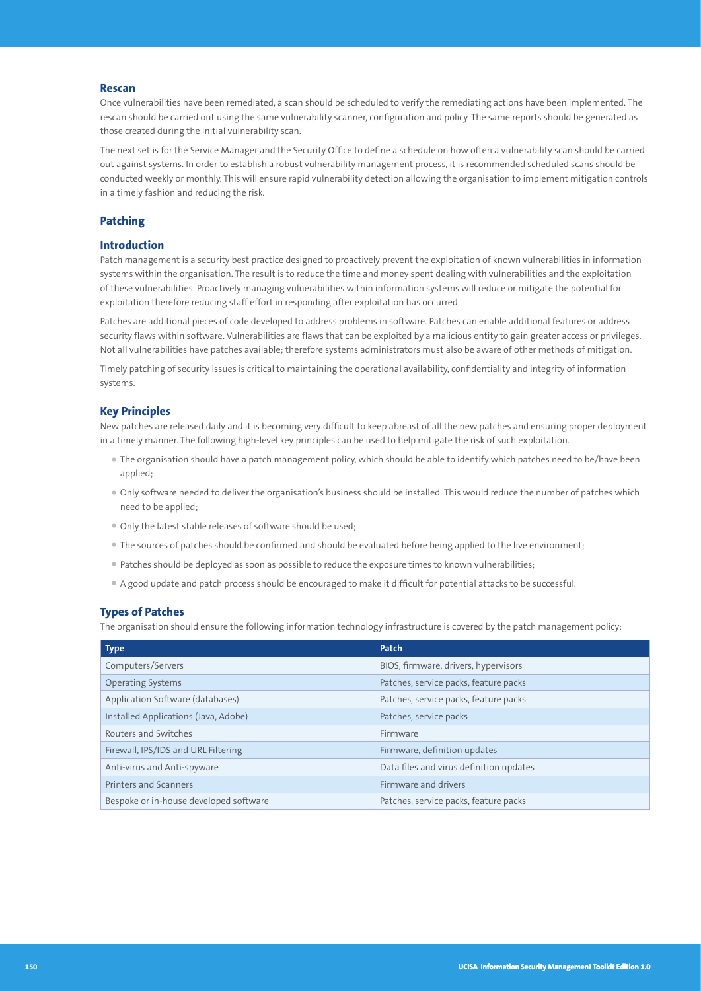#### **Rescan**

Once vulnerabilities have been remediated, a scan should be scheduled to verify the remediating actions have been implemented. The rescan should be carried out using the same vulnerability scanner, configuration and policy. The same reports should be generated as those created during the initial vulnerability scan.

The next set is for the Service Manager and the Security Office to define a schedule on how often a vulnerability scan should be carried out against systems. In order to establish a robust vulnerability management process, it is recommended scheduled scans should be conducted weekly or monthly. This will ensure rapid vulnerability detection allowing the organisation to implement mitigation controls in a timely fashion and reducing the risk.

#### **Patching**

# **Introduction**

Patch management is a security best practice designed to proactively prevent the exploitation of known vulnerabilities in information systems within the organisation. The result is to reduce the time and money spent dealing with vulnerabilities and the exploitation of these vulnerabilities. Proactively managing vulnerabilities within information systems will reduce or mitigate the potential for exploitation therefore reducing staff effort in responding after exploitation has occurred.

Patches are additional pieces of code developed to address problems in software. Patches can enable additional features or address security flaws within software. Vulnerabilities are flaws that can be exploited by a malicious entity to gain greater access or privileges. Not all vulnerabilities have patches available; therefore systems administrators must also be aware of other methods of mitigation.

Timely patching of security issues is critical to maintaining the operational availability, confidentiality and integrity of information systems.

## **Key Principles**

New patches are released daily and it is becoming very difficult to keep abreast of all the new patches and ensuring proper deployment in a timely manner. The following high-level key principles can be used to help mitigate the risk of such exploitation.

- The organisation should have a patch management policy, which should be able to identify which patches need to be/have been applied;
- Only software needed to deliver the organisation's business should be installed. This would reduce the number of patches which need to be applied;
- Only the latest stable releases of software should be used;
- The sources of patches should be confirmed and should be evaluated before being applied to the live environment;
- Patches should be deployed as soon as possible to reduce the exposure times to known vulnerabilities;
- A good update and patch process should be encouraged to make it difficult for potential attacks to be successful.

## **Types of Patches**

The organisation should ensure the following information technology infrastructure is covered by the patch management policy:

| <b>Type</b>                            | Patch                                   |  |
|----------------------------------------|-----------------------------------------|--|
| Computers/Servers                      | BIOS, firmware, drivers, hypervisors    |  |
| <b>Operating Systems</b>               | Patches, service packs, feature packs   |  |
| Application Software (databases)       | Patches, service packs, feature packs   |  |
| Installed Applications (Java, Adobe)   | Patches, service packs                  |  |
| Routers and Switches                   | Firmware                                |  |
| Firewall, IPS/IDS and URL Filtering    | Firmware, definition updates            |  |
| Anti-virus and Anti-spyware            | Data files and virus definition updates |  |
| <b>Printers and Scanners</b>           | Firmware and drivers                    |  |
| Bespoke or in-house developed software | Patches, service packs, feature packs   |  |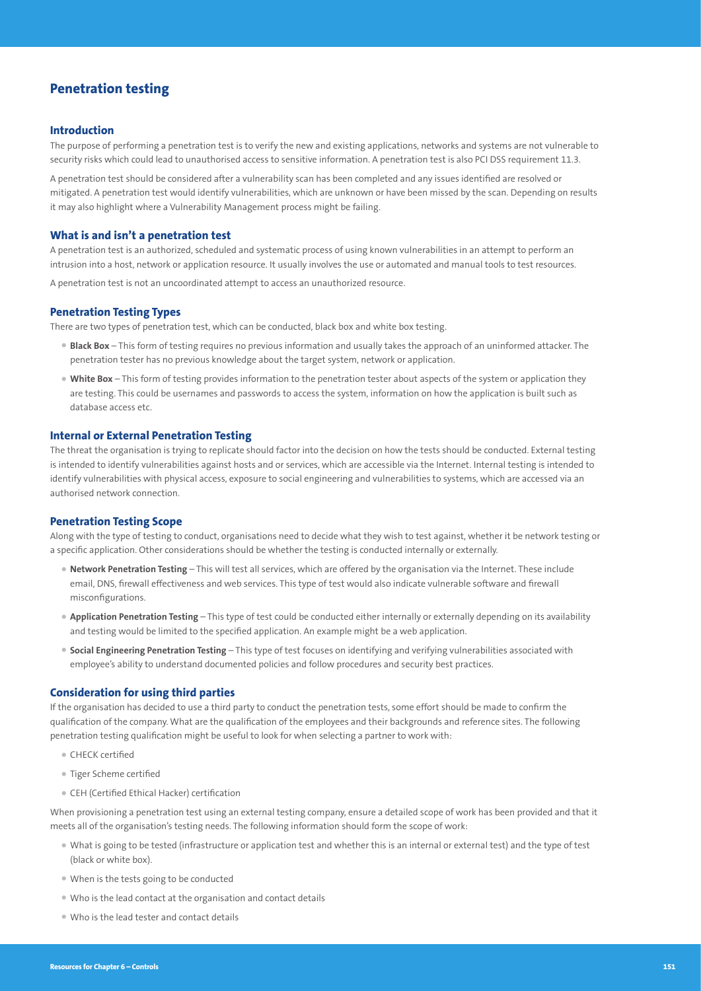# **Penetration testing**

#### **Introduction**

The purpose of performing a penetration test is to verify the new and existing applications, networks and systems are not vulnerable to security risks which could lead to unauthorised access to sensitive information. A penetration test is also PCI DSS requirement 11.3.

A penetration test should be considered after a vulnerability scan has been completed and any issues identified are resolved or mitigated. A penetration test would identify vulnerabilities, which are unknown or have been missed by the scan. Depending on results it may also highlight where a Vulnerability Management process might be failing.

#### **What is and isn't a penetration test**

A penetration test is an authorized, scheduled and systematic process of using known vulnerabilities in an attempt to perform an intrusion into a host, network or application resource. It usually involves the use or automated and manual tools to test resources.

A penetration test is not an uncoordinated attempt to access an unauthorized resource.

# **Penetration Testing Types**

There are two types of penetration test, which can be conducted, black box and white box testing.

- **Black Box** This form of testing requires no previous information and usually takes the approach of an uninformed attacker. The penetration tester has no previous knowledge about the target system, network or application.
- **White Box** This form of testing provides information to the penetration tester about aspects of the system or application they are testing. This could be usernames and passwords to access the system, information on how the application is built such as database access etc.

#### **Internal or External Penetration Testing**

The threat the organisation is trying to replicate should factor into the decision on how the tests should be conducted. External testing is intended to identify vulnerabilities against hosts and or services, which are accessible via the Internet. Internal testing is intended to identify vulnerabilities with physical access, exposure to social engineering and vulnerabilities to systems, which are accessed via an authorised network connection.

#### **Penetration Testing Scope**

Along with the type of testing to conduct, organisations need to decide what they wish to test against, whether it be network testing or a specific application. Other considerations should be whether the testing is conducted internally or externally.

- **Network Penetration Testing** This will test all services, which are offered by the organisation via the Internet. These include email, DNS, firewall effectiveness and web services. This type of test would also indicate vulnerable software and firewall misconfigurations.
- **Application Penetration Testing** This type of test could be conducted either internally or externally depending on its availability and testing would be limited to the specified application. An example might be a web application.
- **Social Engineering Penetration Testing** This type of test focuses on identifying and verifying vulnerabilities associated with employee's ability to understand documented policies and follow procedures and security best practices.

#### **Consideration for using third parties**

If the organisation has decided to use a third party to conduct the penetration tests, some effort should be made to confirm the qualification of the company. What are the qualification of the employees and their backgrounds and reference sites. The following penetration testing qualification might be useful to look for when selecting a partner to work with:

- CHECK certified
- Tiger Scheme certified
- CEH (Certified Ethical Hacker) certification

When provisioning a penetration test using an external testing company, ensure a detailed scope of work has been provided and that it meets all of the organisation's testing needs. The following information should form the scope of work:

- What is going to be tested (infrastructure or application test and whether this is an internal or external test) and the type of test (black or white box).
- When is the tests going to be conducted
- Who is the lead contact at the organisation and contact details
- Who is the lead tester and contact details